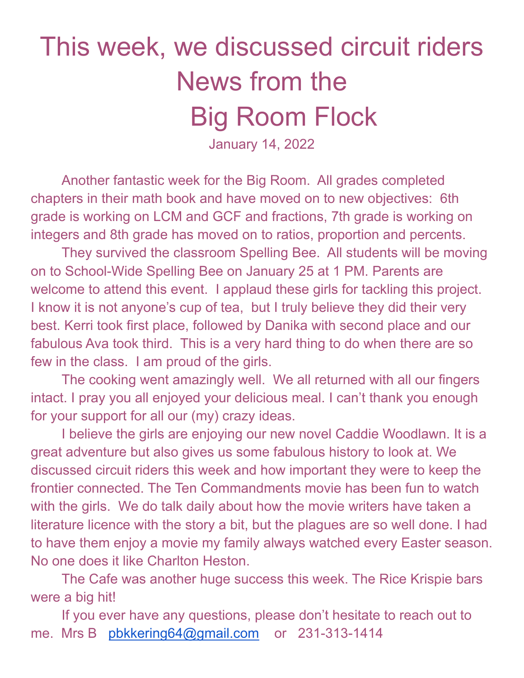## This week, we discussed circuit riders News from the Big Room Flock

January 14, 2022

Another fantastic week for the Big Room. All grades completed chapters in their math book and have moved on to new objectives: 6th grade is working on LCM and GCF and fractions, 7th grade is working on integers and 8th grade has moved on to ratios, proportion and percents.

They survived the classroom Spelling Bee. All students will be moving on to School-Wide Spelling Bee on January 25 at 1 PM. Parents are welcome to attend this event. I applaud these girls for tackling this project. I know it is not anyone's cup of tea, but I truly believe they did their very best. Kerri took first place, followed by Danika with second place and our fabulous Ava took third. This is a very hard thing to do when there are so few in the class. I am proud of the girls.

The cooking went amazingly well. We all returned with all our fingers intact. I pray you all enjoyed your delicious meal. I can't thank you enough for your support for all our (my) crazy ideas.

I believe the girls are enjoying our new novel Caddie Woodlawn. It is a great adventure but also gives us some fabulous history to look at. We discussed circuit riders this week and how important they were to keep the frontier connected. The Ten Commandments movie has been fun to watch with the girls. We do talk daily about how the movie writers have taken a literature licence with the story a bit, but the plagues are so well done. I had to have them enjoy a movie my family always watched every Easter season. No one does it like Charlton Heston.

The Cafe was another huge success this week. The Rice Krispie bars were a big hit!

If you ever have any questions, please don't hesitate to reach out to me. Mrs B [pbkkering64@gmail.com](mailto:pbkkering64@gmail.com) or 231-313-1414